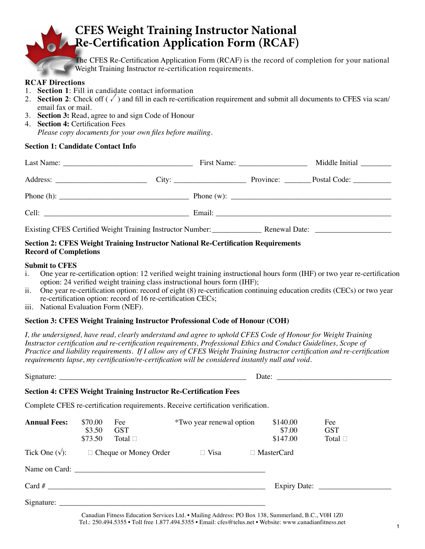# **CFES Weight Training Instructor National Re-Certification Application Form (RCAF)**

The CFES Re-Certification Application Form (RCAF) is the record of completion for your national Weight Training Instructor re-certification requirements.

#### **RCAF Directions**

- 1. **Section 1**: Fill in candidate contact information
- 2. **Section 2**: Check off  $(\sqrt{\ })$  and fill in each re-certification requirement and submit all documents to CFES via scan/ email fax or mail.
- 3. **Section 3:** Read, agree to and sign Code of Honour
- 4. **Section 4:** Certification Fees *Please copy documents for your own files before mailing.*

#### **Section 1: Candidate Contact Info**

|                                                                                                                                                                                                                                                                                                                  |  | First Name: $\frac{1}{2}$ | Middle Initial         |
|------------------------------------------------------------------------------------------------------------------------------------------------------------------------------------------------------------------------------------------------------------------------------------------------------------------|--|---------------------------|------------------------|
|                                                                                                                                                                                                                                                                                                                  |  |                           | Province: Postal Code: |
| Phone (h): $\frac{1}{2}$ $\frac{1}{2}$ $\frac{1}{2}$ $\frac{1}{2}$ $\frac{1}{2}$ $\frac{1}{2}$ $\frac{1}{2}$ $\frac{1}{2}$ $\frac{1}{2}$ $\frac{1}{2}$ $\frac{1}{2}$ $\frac{1}{2}$ $\frac{1}{2}$ $\frac{1}{2}$ $\frac{1}{2}$ $\frac{1}{2}$ $\frac{1}{2}$ $\frac{1}{2}$ $\frac{1}{2}$ $\frac{1}{2}$ $\frac{1}{2}$ |  |                           |                        |
|                                                                                                                                                                                                                                                                                                                  |  |                           |                        |
|                                                                                                                                                                                                                                                                                                                  |  |                           |                        |

#### **Section 2: CFES Weight Training Instructor National Re-Certification Requirements Record of Completions**

#### **Submit to CFES**

- i. One year re-certification option: 12 verified weight training instructional hours form (IHF) or two year re-certification option: 24 verified weight training class instructional hours form (IHF);
- ii. One year re-certification option: record of eight (8) re-certification continuing education credits (CECs) or two year re-certification option: record of 16 re-certification CECs;
- iii. National Evaluation Form (NEF).

#### **Section 3: CFES Weight Training Instructor Professional Code of Honour (COH)**

*I, the undersigned, have read, clearly understand and agree to uphold CFES Code of Honour for Weight Training Instructor certification and re-certification requirements, Professional Ethics and Conduct Guidelines, Scope of Practice and liability requirements. If I allow any of CFES Weight Training Instructor certification and re-certification requirements lapse, my certification/re-certification will be considered instantly null and void.* 

|                     |                              |                                                      |                                                                                  |  | Date: $\frac{1}{\sqrt{1-\frac{1}{2}} \cdot \frac{1}{2}}$ |                                      |  |
|---------------------|------------------------------|------------------------------------------------------|----------------------------------------------------------------------------------|--|----------------------------------------------------------|--------------------------------------|--|
|                     |                              |                                                      | <b>Section 4: CFES Weight Training Instructor Re-Certification Fees</b>          |  |                                                          |                                      |  |
|                     |                              |                                                      | Complete CFES re-certification requirements. Receive certification verification. |  |                                                          |                                      |  |
| <b>Annual Fees:</b> | \$70.00<br>\$3.50<br>\$73.50 | Fee<br><b>GST</b><br>Total $\square$                 | <i>*Two year renewal option</i>                                                  |  | \$140.00<br>\$7.00<br>\$147.00                           | Fee<br><b>GST</b><br>Total $\square$ |  |
|                     |                              | Tick One $(\sqrt{\ }):$ $\Box$ Cheque or Money Order | $\Box$ Visa                                                                      |  | $\Box$ MasterCard                                        |                                      |  |
|                     |                              |                                                      |                                                                                  |  |                                                          |                                      |  |
|                     |                              |                                                      |                                                                                  |  |                                                          |                                      |  |
|                     |                              |                                                      |                                                                                  |  |                                                          |                                      |  |

Canadian Fitness Education Services Ltd. • Mailing Address: PO Box 138, Summerland, B.C., V0H 1Z0 Tel.: 250.494.5355 • Toll free 1.877.494.5355 • Email: cfes@telus.net • Website: www.canadianfitness.net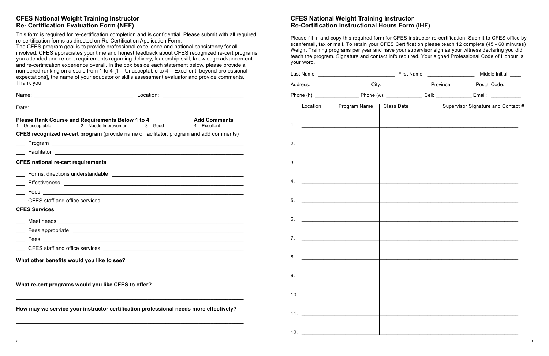## **CFES National Weight Training Instructor Re- Certification Evaluation Form (NEF)**

This form is required for re-certification completion and is confidential. Please submit with all required re-certification forms as directed on Re-Certification Application Form.

| Name: 2008. [2016] Mame: 2008. [2016] Mame: 2016. [2016] Location: 2016. [2016] Mame: 2016. [2016] Mame: 2016. [2016] Mame: 2016. [2016] Mame: 2016. [2016] Mame: 2016. [2016] Mame: 2016. [2016] Mamma: 2016. [2016] Mamma: 2 |                     |
|--------------------------------------------------------------------------------------------------------------------------------------------------------------------------------------------------------------------------------|---------------------|
|                                                                                                                                                                                                                                |                     |
| <b>Please Rank Course and Requirements Below 1 to 4</b> $1 =$ Unacceptable 2 = Needs Improvement 3 = Good 4 = Excellent                                                                                                        | <b>Add Comments</b> |
| <b>CFES recognized re-cert program</b> (provide name of facilitator, program and add comments)                                                                                                                                 |                     |
|                                                                                                                                                                                                                                |                     |
|                                                                                                                                                                                                                                |                     |
| <b>CFES national re-cert requirements</b>                                                                                                                                                                                      |                     |
|                                                                                                                                                                                                                                |                     |
|                                                                                                                                                                                                                                |                     |
|                                                                                                                                                                                                                                |                     |
|                                                                                                                                                                                                                                |                     |
| <b>CFES Services</b>                                                                                                                                                                                                           |                     |
|                                                                                                                                                                                                                                |                     |
|                                                                                                                                                                                                                                |                     |
|                                                                                                                                                                                                                                |                     |
|                                                                                                                                                                                                                                |                     |
|                                                                                                                                                                                                                                |                     |
|                                                                                                                                                                                                                                |                     |
| What re-cert programs would you like CFES to offer? ____________________________                                                                                                                                               |                     |
| How may we service your instructor certification professional needs more effectively?                                                                                                                                          |                     |

The CFES program goal is to provide professional excellence and national consistency for all involved. CFES appreciates your time and honest feedback about CFES recognized re-cert programs you attended and re-cert requirements regarding delivery, leadership skill, knowledge advancement and re-certification experience overall. In the box beside each statement below, please provide a numbered ranking on a scale from 1 to 4 [1 = Unacceptable to  $4$  = Excellent, beyond professional expectations], the name of your educator or skills assessment evaluator and provide comments. Thank you.

# **CFES National Weight Training Instructor Re-Certification Instructional Hours Form (IHF)**

Please fill in and copy this required form for CFES instructor re-certification. Submit to CFES office by scan/email, fax or mail. To retain your CFES Certification please teach 12 complete (45 - 60 minutes) Weight Training programs per year and have your supervisor sign as your witness declaring you did teach the program. Signature and contact info required. Your signed Professional Code of Honour is your word.

|                    |                                                                                                                                                                                                                                                                                                                                                                                                                                                                                                                                                                                                                                                                                                                                                                              |                                                                                                                                                                                                    |                                                                                   | Supervisor Signature and Contact # |  |
|--------------------|------------------------------------------------------------------------------------------------------------------------------------------------------------------------------------------------------------------------------------------------------------------------------------------------------------------------------------------------------------------------------------------------------------------------------------------------------------------------------------------------------------------------------------------------------------------------------------------------------------------------------------------------------------------------------------------------------------------------------------------------------------------------------|----------------------------------------------------------------------------------------------------------------------------------------------------------------------------------------------------|-----------------------------------------------------------------------------------|------------------------------------|--|
|                    |                                                                                                                                                                                                                                                                                                                                                                                                                                                                                                                                                                                                                                                                                                                                                                              |                                                                                                                                                                                                    |                                                                                   |                                    |  |
| 2. $\qquad \qquad$ |                                                                                                                                                                                                                                                                                                                                                                                                                                                                                                                                                                                                                                                                                                                                                                              |                                                                                                                                                                                                    |                                                                                   |                                    |  |
|                    |                                                                                                                                                                                                                                                                                                                                                                                                                                                                                                                                                                                                                                                                                                                                                                              |                                                                                                                                                                                                    |                                                                                   |                                    |  |
|                    |                                                                                                                                                                                                                                                                                                                                                                                                                                                                                                                                                                                                                                                                                                                                                                              |                                                                                                                                                                                                    |                                                                                   |                                    |  |
|                    |                                                                                                                                                                                                                                                                                                                                                                                                                                                                                                                                                                                                                                                                                                                                                                              |                                                                                                                                                                                                    |                                                                                   |                                    |  |
|                    |                                                                                                                                                                                                                                                                                                                                                                                                                                                                                                                                                                                                                                                                                                                                                                              |                                                                                                                                                                                                    |                                                                                   |                                    |  |
|                    |                                                                                                                                                                                                                                                                                                                                                                                                                                                                                                                                                                                                                                                                                                                                                                              |                                                                                                                                                                                                    |                                                                                   |                                    |  |
|                    |                                                                                                                                                                                                                                                                                                                                                                                                                                                                                                                                                                                                                                                                                                                                                                              |                                                                                                                                                                                                    |                                                                                   |                                    |  |
|                    |                                                                                                                                                                                                                                                                                                                                                                                                                                                                                                                                                                                                                                                                                                                                                                              |                                                                                                                                                                                                    |                                                                                   |                                    |  |
|                    |                                                                                                                                                                                                                                                                                                                                                                                                                                                                                                                                                                                                                                                                                                                                                                              |                                                                                                                                                                                                    |                                                                                   |                                    |  |
|                    |                                                                                                                                                                                                                                                                                                                                                                                                                                                                                                                                                                                                                                                                                                                                                                              |                                                                                                                                                                                                    |                                                                                   |                                    |  |
|                    |                                                                                                                                                                                                                                                                                                                                                                                                                                                                                                                                                                                                                                                                                                                                                                              |                                                                                                                                                                                                    |                                                                                   |                                    |  |
|                    |                                                                                                                                                                                                                                                                                                                                                                                                                                                                                                                                                                                                                                                                                                                                                                              |                                                                                                                                                                                                    |                                                                                   |                                    |  |
|                    | $\label{eq:2} \begin{split} \frac{1}{2} \left( \frac{1}{2} \sum_{i=1}^{n} \frac{1}{2} \sum_{j=1}^{n} \frac{1}{2} \sum_{j=1}^{n} \frac{1}{2} \sum_{j=1}^{n} \frac{1}{2} \sum_{j=1}^{n} \frac{1}{2} \sum_{j=1}^{n} \frac{1}{2} \sum_{j=1}^{n} \frac{1}{2} \sum_{j=1}^{n} \frac{1}{2} \sum_{j=1}^{n} \frac{1}{2} \sum_{j=1}^{n} \frac{1}{2} \sum_{j=1}^{n} \frac{1}{2} \sum_{j$<br>$\frac{1}{2} \left( \frac{1}{2} \frac{1}{2} \frac{1}{2} \frac{1}{2} \frac{1}{2} \frac{1}{2} \frac{1}{2} \frac{1}{2} \frac{1}{2} \frac{1}{2} \frac{1}{2} \frac{1}{2} \frac{1}{2} \frac{1}{2} \frac{1}{2} \frac{1}{2} \frac{1}{2} \frac{1}{2} \frac{1}{2} \frac{1}{2} \frac{1}{2} \frac{1}{2} \frac{1}{2} \frac{1}{2} \frac{1}{2} \frac{1}{2} \frac{1}{2} \frac{1}{2} \frac{1}{2} \frac{1}{2}$ | 1. $\qquad \qquad$<br><u> 1990 - Jan Barbara III, martx</u><br>10. $\qquad \qquad$<br>11. $\frac{1}{\sqrt{1-\frac{1}{2}}\sqrt{1-\frac{1}{2}}\left(\frac{1}{2}-\frac{1}{2}\right)}$<br>12. $\qquad$ | Location   Program Name   Class Date<br><u> 1990 - Johann John Barn, martin a</u> |                                    |  |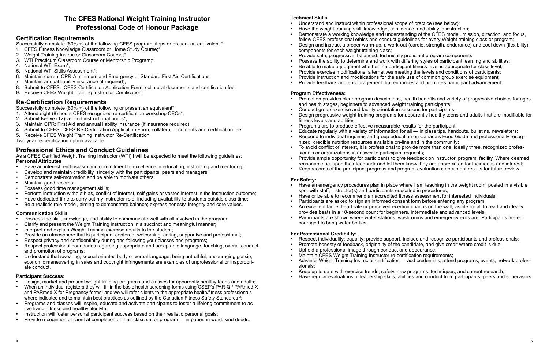# **The CFES National Weight Training Instructor Professional Code of Honour Package**

## **Certification Requirements**

Successfully complete (80% +) of the following CFES program steps or present an equivalent.\* 1 CFES Fitness Knowledge Classroom or Home Study Course;\*

- 
- 2 Weight Training Instructor Classroom Course;\*
- 3. WTI Practicum Classroom Course or Mentorship Program;\*
- 4. National WTI Exam\*;
- 5. National WTI Skills Assessment\*;
- 6. Maintain current CPR-A minimum and Emergency or Standard First Aid Certifications;
- 7 Maintain annual liability insurance (if required);
- 8. Submit to CFES: CFES Certification Application Form, collateral documents and certification fee;
- 9. Receive CFES Weight Training Instructor Certification.

- Have an interest, enthusiasm and commitment to excellence in educating, instructing and mentoring;
- Develop and maintain credibility, sincerity with the participants, peers and managers;
- Demonstrate self-motivation and be able to motivate others;
- Maintain good records;
- Possess good time management skills;
- Perform instruction without bias, conflict of interest, self-gains or vested interest in the instruction outcome;
- Have dedicated time to carry out my instructor role, including availability to students outside class time;
- Be a realistic role model, aiming to demonstrate balance; express honesty, integrity and core values.

# **Re-Certification Requirements**

Successfully complete (80% +) of the following or present an equivalent\*.

- 1. Attend eight (8) hours CFES recognized re-certification workshop CECs\*;
- 2. Submit twelve (12) verified instructional hours\*;
- 3. Maintain CPR; First Aid and annual liability insurance (if insurance required);
- 4. Submit to CFES: CFES Re-Certification Application Form, collateral documents and certification fee;
- 5. Receive CFES Weight Training Instructor Re-Certification.

Two year re-certification option available

# **Professional Ethics and Conduct Guidelines**

As a CFES Certified Weight Training Instructor (WTI) I will be expected to meet the following guidelines: **Personal Attributes**

### **Communication Skills**

- Possess the skill, knowledge, and ability to communicate well with all involved in the program;
- Clarify and present the Weight Training instruction in a succinct and meaningful manner;
- Interpret and explain Weight Training exercise results to the student;
- Provide an atmosphere that is participant centered, welcoming, caring, supportive and professional;
- Respect privacy and confidentiality during and following your classes and programs;
- Respect professional boundaries regarding appropriate and acceptable language, touching, overall conduct and promotion of programs;
- Understand that swearing, sexual oriented body or verbal language; being untruthful; encouraging gossip; economic maneuvering in sales and copyright infringements are examples of unprofessional or inappropriate conduct.

#### **Participant Success:**

- Promotion provides clear program descriptions, health benefits and variety of progressive choices for ages and health stages, beginners to advanced weight training participants;
- Conduct group exercise and facility orientation sessions for participants;
- Design progressive weight training programs for apparently healthy teens and adults that are modifiable for fitness levels and abilities;
- Programs are to produce effective measurable results for the participant;
- Educate regularly with a variety of information for all in class tips, handouts, bulletins, newsletters; • Respond to individual inquiries and group education on Canada's Food Guide and professionally recognized, credible nutrition resources available on-line and in the community;
- 
- To avoid conflict of interest, it is professional to provide more than one, ideally three, recognized professionals or organizations in answer to participant requests;
- Provide ample opportunity for participants to give feedback on instructor, program, facility. Where deemed reasonable act upon their feedback and let them know they are appreciated for their ideas and interest;
- Keep records of the participant progress and program evaluations; document results for future review.

- Design, market and present weight training programs and classes for apparently healthy teens and adults;
- When an individual registers they will fill in the basic health screening forms using CSEP's PAR-Q / PARmed-X and PARmed-X for Pregnancy forms<sup>1</sup> and we will refer clients to the appropriate health/fitness professionals where indicated and to maintain best practices as outlined by the Canadian Fitness Safety Standards  $^{\text{2}}$ ;
- Programs and classes will inspire, educate and activate participants to foster a lifelong commitment to active living, fitness and healthy lifestyle;
- Instruction will foster personal participant success based on their realistic personal goals;
- Provide recognition of client at completion of their class set or program in paper, in word, kind deeds.

#### **Technical Skills**

- Understand and instruct within professional scope of practice (see below);
- Have the weight training skill, knowledge, confidence, and ability in instruction;
- Demonstrate a working knowledge and understanding of the CFES model, mission, direction, and focus, follow CFES professional ethics and conduct guidelines for every Weight training class or program; • Design and instruct a proper warm-up, a work-out (cardio, strength, endurance) and cool down (flexibility)
- components for each weight training class;
- Provide safe, progressive, balanced, technically proficient program components; • Possess the ability to determine and work with differing styles of participant learning and abilities;
- Be able to make a judgment whether the participant fitness level is appropriate for class level;
- Provide exercise modifications, alternatives meeting the levels and conditions of participants;
- Provide instruction and modifications for the safe use of common group exercise equipment;
- Provide feedback and encouragement that enhances and promotes participant advancement.

#### **Program Effectiveness:**

#### **For Safety:**

- Have an emergency procedures plan in place where I am teaching in the weight room, posted in a visible spot with staff, instructor(s) and participants educated in procedures;
- Have or be able to recommend an accredited fitness assessment for interested individuals;
- Participants are asked to sign an informed consent form before entering any program;
- An excellent target heart rate or perceived exertion chart is on the wall, visible for all to read and ideally provides beats in a 10-second count for beginners, intermediate and advanced levels;
- Participants are shown where water stations, washrooms and emergency exits are. Participants are encouraged to bring water bottles.

#### **For Professional Credibility:**

- Respect individuality; equality; provide support, include and recognize participants and professionals;
- Promote honesty of feedback, originality of the candidate, and give credit where credit is due;
- Uphold a professional image through conduct and appearance;
- 
- Maintain CFES Weight Training Instructor re-certification requirements; • Advance Weight Training Instructor certification — add credentials, attend programs, events, network professionals;
- Keep up to date with exercise trends, safety, new programs, techniques, and current research; • Have regular evaluations of leadership skills, abilities and conduct from participants, peers and supervisors.
-